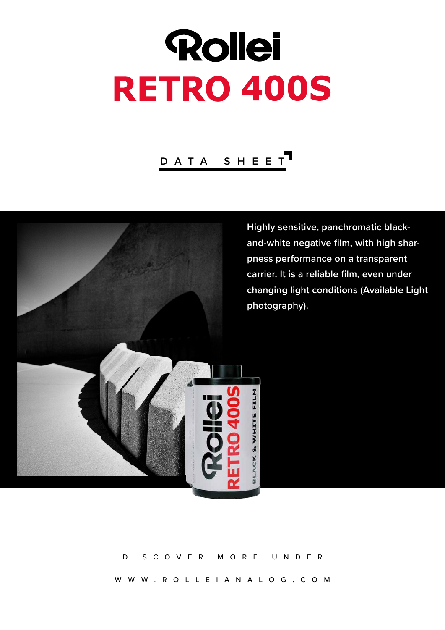# Rollei **RETRO 400S**

## **DATA SHEET**



**Highly sensitive, panchromatic blackand-white negative film, with high sharpness performance on a transparent carrier. It is a reliable film, even under changing light conditions (Available Light photography).**

### DISCOVER MORE UNDER

WWW.ROLLEIANALOG.COM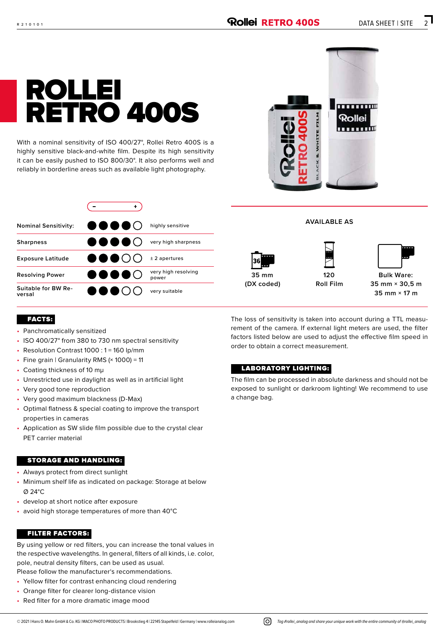# ROLLEI RETRO 400S

With a nominal sensitivity of ISO 400/27°, Rollei Retro 400S is a highly sensitive black-and-white film. Despite its high sensitivity it can be easily pushed to ISO 800/30°. It also performs well and reliably in borderline areas such as available light photography.

| ž<br>FILM   | um<br>п<br><b>Rollei</b> |
|-------------|--------------------------|
| ACK & WHITE |                          |

| <b>OOOO</b> ()     | highly sensitive             |
|--------------------|------------------------------|
| U O O O ()         | very high sharpness          |
| 8 S S C            | $±$ 2 apertures              |
| U O O O O          | very high resolving<br>power |
| 8 <del>0</del> 8 0 | very suitable                |
|                    |                              |



**35 mm (DX coded)**



**AVAILABLE AS**



**35 mm × 30,5 m 35 mm × 17 m**

#### FACTS:

- Panchromatically sensitized
- ISO 400/27° from 380 to 730 nm spectral sensitivity
- Resolution Contrast 1000 : 1 = 160 lp/mm
- Fine grain | Granularity RMS  $(x 1000) = 11$
- Coating thickness of 10 mμ
- Unrestricted use in daylight as well as in artificial light
- Very good tone reproduction
- Very good maximum blackness (D-Max)
- Optimal flatness & special coating to improve the transport properties in cameras
- Application as SW slide film possible due to the crystal clear PET carrier material

#### STORAGE AND HANDLING:

- Always protect from direct sunlight
- Minimum shelf life as indicated on package: Storage at below Ø 24°C
- develop at short notice after exposure
- avoid high storage temperatures of more than 40°C

#### FILTER FACTORS:

By using yellow or red filters, you can increase the tonal values in the respective wavelengths. In general, filters of all kinds, i.e. color, pole, neutral density filters, can be used as usual. Please follow the manufacturer's recommendations.

- Yellow filter for contrast enhancing cloud rendering
- Orange filter for clearer long-distance vision
- Red filter for a more dramatic image mood

The loss of sensitivity is taken into account during a TTL measurement of the camera. If external light meters are used, the filter factors listed below are used to adjust the effective film speed in order to obtain a correct measurement.

#### LABORATORY LIGHTING:

The film can be processed in absolute darkness and should not be exposed to sunlight or darkroom lighting! We recommend to use a change bag.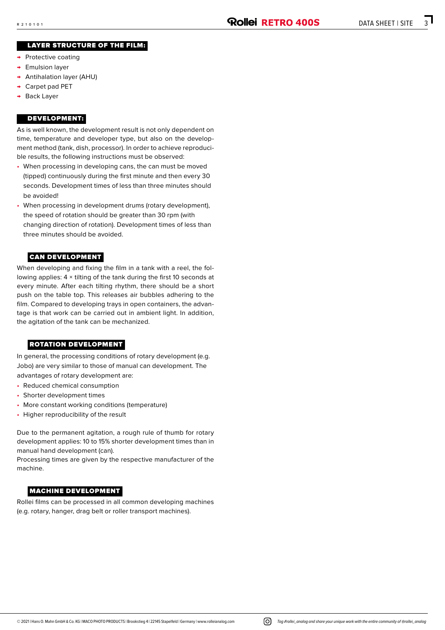#### LAYER STRUCTURE OF THE FILM:

- → Protective coating
- → Emulsion layer
- → Antihalation layer (AHU)
- → Carpet pad PET
- → Back Layer

#### DEVELOPMENT:

As is well known, the development result is not only dependent on time, temperature and developer type, but also on the develop ment method (tank, dish, processor). In order to achieve reproduci ble results, the following instructions must be observed:

- When processing in developing cans, the can must be moved (tipped) continuously during the first minute and then every 30 seconds. Development times of less than three minutes should be avoided!
- When processing in development drums (rotary development), the speed of rotation should be greater than 30 rpm (with changing direction of rotation). Development times of less than three minutes should be avoided.

#### CAN DEVELOPMENT

When developing and fixing the film in a tank with a reel, the fol lowing applies: 4 × tilting of the tank during the first 10 seconds at every minute. After each tilting rhythm, there should be a short push on the table top. This releases air bubbles adhering to the film. Compared to developing trays in open containers, the advan tage is that work can be carried out in ambient light. In addition, the agitation of the tank can be mechanized.

#### ROTATION DEVELOPMENT

In general, the processing conditions of rotary development (e.g. Jobo) are very similar to those of manual can development. The advantages of rotary development are:

- Reduced chemical consumption
- Shorter development times
- More constant working conditions (temperature)
- Higher reproducibility of the result

Due to the permanent agitation, a rough rule of thumb for rotary development applies: 10 to 15% shorter development times than in manual hand development (can).

Processing times are given by the respective manufacturer of the machine.

#### MACHINE DEVELOPMENT

Rollei films can be processed in all common developing machines (e.g. rotary, hanger, drag belt or roller transport machines).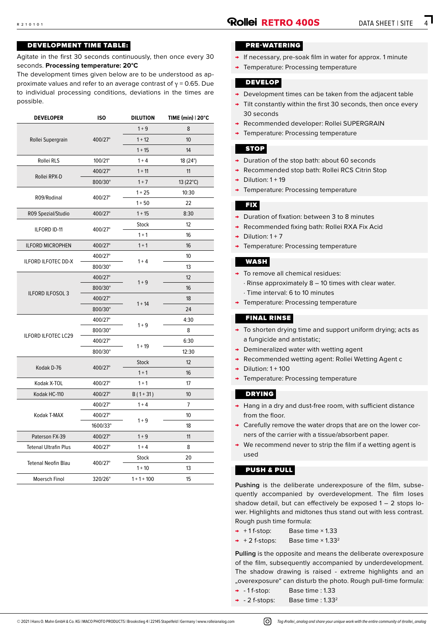#### DEVELOPMENT TIME TABLE:

Agitate in the first 30 seconds continuously, then once every 30 seconds. **Processing temperature: 20°C**

The development times given below are to be understood as approximate values and refer to an average contrast of  $γ = 0.65$ . Due to individual processing conditions, deviations in the times are possible.

| <b>DEVELOPER</b>             | <b>ISO</b>                                                                                                                                                                                                                                                                                                                                                                                                                                                                                                                                          | <b>DILUTION</b>                                                                                                                                                                                    | TIME (min)   20°C |
|------------------------------|-----------------------------------------------------------------------------------------------------------------------------------------------------------------------------------------------------------------------------------------------------------------------------------------------------------------------------------------------------------------------------------------------------------------------------------------------------------------------------------------------------------------------------------------------------|----------------------------------------------------------------------------------------------------------------------------------------------------------------------------------------------------|-------------------|
|                              |                                                                                                                                                                                                                                                                                                                                                                                                                                                                                                                                                     | $1 + 9$                                                                                                                                                                                            | 8                 |
| Rollei Supergrain            | 400/27°<br>$1 + 12$<br>$1 + 15$<br>100/21°<br>$1 + 4$<br>400/27°<br>$1 + 11$<br>800/30°<br>$1 + 7$<br>$1 + 25$<br>400/27°<br>$1 + 50$<br>400/27°<br>$1 + 15$<br>Stock<br>400/27°<br>$1 + 1$<br>$1 + 1$<br>400/27°<br>400/27°<br>$1 + 4$<br>800/30°<br>400/27°<br>$1 + 9$<br>800/30°<br>400/27°<br>$1 + 14$<br>800/30°<br>400/27°<br>$1 + 9$<br>800/30°<br>400/27°<br>$1 + 19$<br>800/30°<br>Stock<br>400/27°<br>$1 + 1$<br>400/27°<br>$1 + 1$<br>400/27°<br>$B(1+31)$<br>$1 + 4$<br>400/27°<br>400/27°<br>$1 + 9$<br>1600/33°<br>$1 + 9$<br>400/27° | 10                                                                                                                                                                                                 |                   |
|                              |                                                                                                                                                                                                                                                                                                                                                                                                                                                                                                                                                     |                                                                                                                                                                                                    | 14                |
| Rollei RLS                   |                                                                                                                                                                                                                                                                                                                                                                                                                                                                                                                                                     |                                                                                                                                                                                                    | 18 (24°)          |
|                              |                                                                                                                                                                                                                                                                                                                                                                                                                                                                                                                                                     |                                                                                                                                                                                                    | 11                |
| Rollei RPX-D                 |                                                                                                                                                                                                                                                                                                                                                                                                                                                                                                                                                     |                                                                                                                                                                                                    | 13 (22°C)         |
|                              |                                                                                                                                                                                                                                                                                                                                                                                                                                                                                                                                                     |                                                                                                                                                                                                    | 10:30             |
| R09/Rodinal                  |                                                                                                                                                                                                                                                                                                                                                                                                                                                                                                                                                     |                                                                                                                                                                                                    | 22                |
| R09 Spezial/Studio           |                                                                                                                                                                                                                                                                                                                                                                                                                                                                                                                                                     |                                                                                                                                                                                                    | 8:30              |
|                              |                                                                                                                                                                                                                                                                                                                                                                                                                                                                                                                                                     |                                                                                                                                                                                                    | 12                |
| ILFORD ID-11                 |                                                                                                                                                                                                                                                                                                                                                                                                                                                                                                                                                     |                                                                                                                                                                                                    | 16                |
| <b>ILFORD MICROPHEN</b>      |                                                                                                                                                                                                                                                                                                                                                                                                                                                                                                                                                     |                                                                                                                                                                                                    | 16                |
|                              |                                                                                                                                                                                                                                                                                                                                                                                                                                                                                                                                                     | 10<br>13<br>12<br>16<br>18<br>24<br>4:30<br>8<br>6:30<br>12:30<br>12<br>16<br>17<br>10<br>$\overline{7}$<br>10<br>18<br>11<br>$1 + 4$<br>8<br>20<br>Stock<br>$1 + 10$<br>13<br>$1 + 1 + 100$<br>15 |                   |
| <b>ILFORD ILFOTEC DD-X</b>   |                                                                                                                                                                                                                                                                                                                                                                                                                                                                                                                                                     |                                                                                                                                                                                                    |                   |
|                              |                                                                                                                                                                                                                                                                                                                                                                                                                                                                                                                                                     |                                                                                                                                                                                                    |                   |
|                              |                                                                                                                                                                                                                                                                                                                                                                                                                                                                                                                                                     |                                                                                                                                                                                                    |                   |
| <b>ILFORD ILFOSOL 3</b>      |                                                                                                                                                                                                                                                                                                                                                                                                                                                                                                                                                     |                                                                                                                                                                                                    |                   |
|                              |                                                                                                                                                                                                                                                                                                                                                                                                                                                                                                                                                     |                                                                                                                                                                                                    |                   |
|                              |                                                                                                                                                                                                                                                                                                                                                                                                                                                                                                                                                     |                                                                                                                                                                                                    |                   |
|                              |                                                                                                                                                                                                                                                                                                                                                                                                                                                                                                                                                     |                                                                                                                                                                                                    |                   |
| <b>ILFORD ILFOTEC LC29</b>   |                                                                                                                                                                                                                                                                                                                                                                                                                                                                                                                                                     |                                                                                                                                                                                                    |                   |
|                              |                                                                                                                                                                                                                                                                                                                                                                                                                                                                                                                                                     |                                                                                                                                                                                                    |                   |
|                              |                                                                                                                                                                                                                                                                                                                                                                                                                                                                                                                                                     |                                                                                                                                                                                                    |                   |
| Kodak D-76                   |                                                                                                                                                                                                                                                                                                                                                                                                                                                                                                                                                     |                                                                                                                                                                                                    |                   |
| Kodak X-TOL                  |                                                                                                                                                                                                                                                                                                                                                                                                                                                                                                                                                     |                                                                                                                                                                                                    |                   |
| Kodak HC-110                 |                                                                                                                                                                                                                                                                                                                                                                                                                                                                                                                                                     |                                                                                                                                                                                                    |                   |
|                              |                                                                                                                                                                                                                                                                                                                                                                                                                                                                                                                                                     |                                                                                                                                                                                                    |                   |
| Kodak T-MAX                  |                                                                                                                                                                                                                                                                                                                                                                                                                                                                                                                                                     |                                                                                                                                                                                                    |                   |
|                              |                                                                                                                                                                                                                                                                                                                                                                                                                                                                                                                                                     |                                                                                                                                                                                                    |                   |
| Paterson FX-39               |                                                                                                                                                                                                                                                                                                                                                                                                                                                                                                                                                     |                                                                                                                                                                                                    |                   |
| <b>Tetenal Ultrafin Plus</b> | 400/27°                                                                                                                                                                                                                                                                                                                                                                                                                                                                                                                                             |                                                                                                                                                                                                    |                   |
|                              |                                                                                                                                                                                                                                                                                                                                                                                                                                                                                                                                                     |                                                                                                                                                                                                    |                   |
| <b>Tetenal Neofin Blau</b>   | 400/27°                                                                                                                                                                                                                                                                                                                                                                                                                                                                                                                                             |                                                                                                                                                                                                    |                   |
| Moersch Finol                | 320/26°                                                                                                                                                                                                                                                                                                                                                                                                                                                                                                                                             |                                                                                                                                                                                                    |                   |

#### PRE-WATERING

- → If necessary, pre-soak film in water for approx. 1 minute
- Temperature: Processing temperature

#### DEVELOP

- → Development times can be taken from the adjacent table
- → Tilt constantly within the first 30 seconds, then once every 30 seconds
- → Recommended developer: Rollei SUPERGRAIN
- → Temperature: Processing temperature

#### STOP

- → Duration of the stop bath: about 60 seconds
- → Recommended stop bath: Rollei RCS Citrin Stop
- $\rightarrow$  Dilution: 1 + 19
- → Temperature: Processing temperature

#### FIX

- → Duration of fixation: between 3 to 8 minutes
- → Recommended fixing bath: Rollei RXA Fix Acid
- $\rightarrow$  Dilution: 1 + 7
- → Temperature: Processing temperature

#### WASH

- → To remove all chemical residues: · Rinse approximately 8 – 10 times with clear water.
	- · Time interval: 6 to 10 minutes
- → Temperature: Processing temperature

#### FINAL RINSE

- → To shorten drying time and support uniform drying; acts as a fungicide and antistatic;
- → Demineralized water with wetting agent
- → Recommended wetting agent: Rollei Wetting Agent c
- $\rightarrow$  Dilution: 1 + 100
- → Temperature: Processing temperature

#### DRYING

- → Hang in a dry and dust-free room, with sufficient distance from the floor.
- → Carefully remove the water drops that are on the lower corners of the carrier with a tissue/absorbent paper.
- → We recommend never to strip the film if a wetting agent is used

#### PUSH & PULL

**Pushing** is the deliberate underexposure of the film, subsequently accompanied by overdevelopment. The film loses shadow detail, but can effectively be exposed 1 – 2 stops lower. Highlights and midtones thus stand out with less contrast. Rough push time formula:

- $\rightarrow$  +1 f-stop: Base time  $\times$  1.33
- $\rightarrow$  + 2 f-stops: Base time  $\times$  1.33<sup>2</sup>

**Pulling** is the opposite and means the deliberate overexposure of the film, subsequently accompanied by underdevelopment. The shadow drawing is raised - extreme highlights and an "overexposure" can disturb the photo. Rough pull-time formula:

- → 1 f-stop: Base time : 1.33
- $\rightarrow$  2 f-stops: Base time : 1.33<sup>2</sup>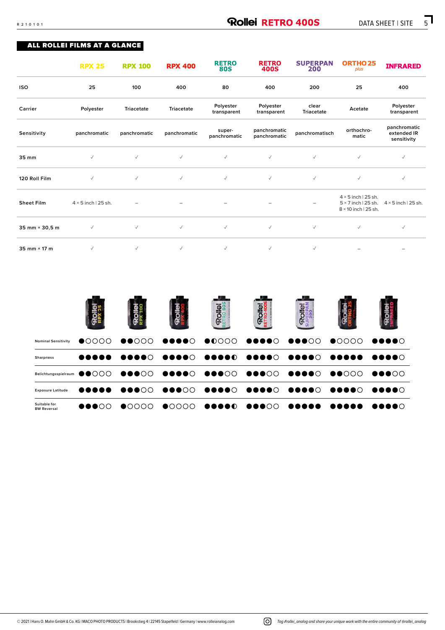#### ALL ROLLEI FILMS AT A GLANCE

|                   | <b>RPX 25</b>              | <b>RPX 100</b>    | <b>RPX 400</b>    | <b>RETRO</b><br><b>80S</b> | <b>RETRO</b><br>400S         | <b>SUPERPAN</b><br>200   | ORTHO <sub>25</sub><br>plus                                                             | <b>INFRARED</b>                            |
|-------------------|----------------------------|-------------------|-------------------|----------------------------|------------------------------|--------------------------|-----------------------------------------------------------------------------------------|--------------------------------------------|
| <b>ISO</b>        | 25                         | 100               | 400               | 80                         | 400                          | 200                      | 25                                                                                      | 400                                        |
| Carrier           | Polyester                  | <b>Triacetate</b> | <b>Triacetate</b> | Polyester<br>transparent   | Polyester<br>transparent     | clear<br>Triacetate      | Acetate                                                                                 | Polyester<br>transparent                   |
| Sensitivity       | panchromatic               | panchromatic      | panchromatic      | super-<br>panchromatic     | panchromatic<br>panchromatic | panchromatisch           | orthochro-<br>matic                                                                     | panchromatic<br>extended IR<br>sensitivity |
| 35 mm             | $\checkmark$               | $\checkmark$      | $\checkmark$      | $\checkmark$               | $\checkmark$                 | $\checkmark$             | $\checkmark$                                                                            | $\checkmark$                               |
| 120 Roll Film     | $\checkmark$               | $\checkmark$      | $\checkmark$      | $\checkmark$               | $\checkmark$                 | $\checkmark$             | $\checkmark$                                                                            | $\checkmark$                               |
| <b>Sheet Film</b> | $4 \times 5$ inch   25 sh. |                   | -                 |                            | $\qquad \qquad -$            | $\overline{\phantom{0}}$ | $4 \times 5$ inch   25 sh.<br>$5 \times 7$ inch   25 sh.<br>$8 \times 10$ inch   25 sh. | $4 \times 5$ inch   25 sh.                 |
| 35 mm × 30,5 m    | $\checkmark$               | $\checkmark$      | $\checkmark$      | $\checkmark$               | $\checkmark$                 | $\checkmark$             | $\checkmark$                                                                            | $\checkmark$                               |
| 35 mm × 17 m      | $\checkmark$               | $\checkmark$      | $\checkmark$      | $\checkmark$               | $\checkmark$                 | $\checkmark$             |                                                                                         |                                            |

|                                    |                                   |  |                                                                                                     | $\overline{\mathbf{v}}$ |  |
|------------------------------------|-----------------------------------|--|-----------------------------------------------------------------------------------------------------|-------------------------|--|
| <b>Nominal Sensitivity</b>         | $\bullet$                         |  |                                                                                                     |                         |  |
| Sharpness                          |                                   |  |                                                                                                     |                         |  |
|                                    |                                   |  | Belichtungsspielraum ●●0000   ●●●00   ●●●●00   ●●●000   ●●●000   ●●●●00   ●●●000   ●●●00            |                         |  |
| <b>Exposure Latitude</b>           |                                   |  |                                                                                                     |                         |  |
| Suitable for<br><b>BW Reversal</b> | $\bullet\bullet\bullet\circ\circ$ |  | $\bullet$ oooo $\bullet$ oooo $\bullet$ oooo $\bullet$ oooo $\bullet$ oooo $\bullet$ oooo $\bullet$ |                         |  |

© 2021 | Hans O. Mahn GmbH & Co. KG | MACO PHOTO PRODUCTS | Brookstieg 4 | 22145 Stapelfeld | Germany | www.rolleianalog.com *Tag #rollei\_analog and share your unique work with the entire community of @rollei\_analog*